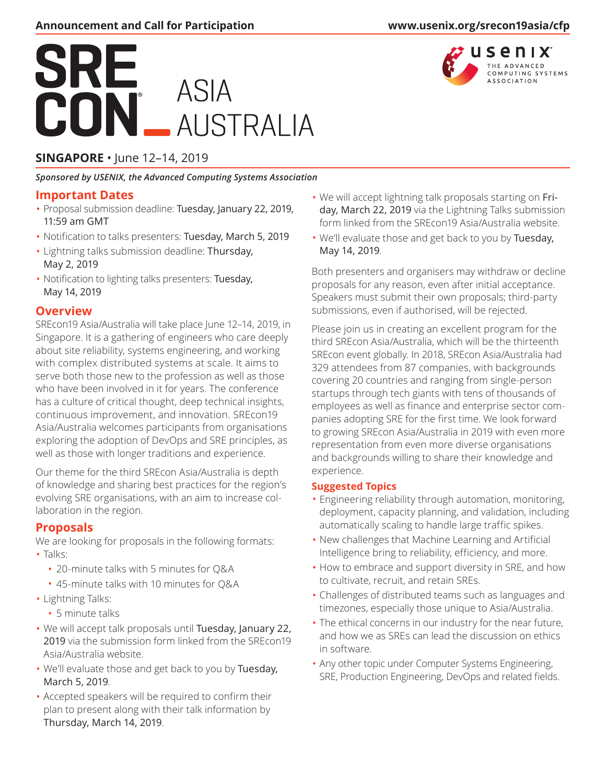# SRE **ASIA AUSTRALIA**

# **SINGAPORE** • June 12–14, 2019

*Sponsored by [USENIX](http://static.usenix.org/), the Advanced Computing Systems Association*

### **Important Dates**

- Proposal submission deadline: Tuesday, January 22, 2019, 11:59 am GMT
- Notification to talks presenters: Tuesday, March 5, 2019
- Lightning talks submission deadline: Thursday, May 2, 2019
- Notification to lighting talks presenters: Tuesday, May 14, 2019

## **Overview**

SREcon19 Asia/Australia will take place June 12–14, 2019, in Singapore. It is a gathering of engineers who care deeply about site reliability, systems engineering, and working with complex distributed systems at scale. It aims to serve both those new to the profession as well as those who have been involved in it for years. The conference has a culture of critical thought, deep technical insights, continuous improvement, and innovation. SREcon19 Asia/Australia welcomes participants from organisations exploring the adoption of DevOps and SRE principles, as well as those with longer traditions and experience.

Our theme for the third SREcon Asia/Australia is depth of knowledge and sharing best practices for the region's evolving SRE organisations, with an aim to increase collaboration in the region.

## **Proposals**

We are looking for proposals in the following formats: • Talks:

- 20-minute talks with 5 minutes for Q&A
- 45-minute talks with 10 minutes for Q&A
- Lightning Talks:
	- 5 minute talks
- We will accept talk proposals until Tuesday, January 22, 2019 via the submission form linked from the SREcon19 Asia/Australia website.
- We'll evaluate those and get back to you by Tuesday, March 5, 2019.
- Accepted speakers will be required to confirm their plan to present along with their talk information by Thursday, March 14, 2019.
- We will accept lightning talk proposals starting on Friday, March 22, 2019 via the Lightning Talks submission form linked from the SREcon19 Asia/Australia website.
- We'll evaluate those and get back to you by Tuesday, May 14, 2019.

Both presenters and organisers may withdraw or decline proposals for any reason, even after initial acceptance. Speakers must submit their own proposals; third-party submissions, even if authorised, will be rejected.

Please join us in creating an excellent program for the third SREcon Asia/Australia, which will be the thirteenth SREcon event globally. In 2018, SREcon Asia/Australia had 329 attendees from 87 companies, with backgrounds covering 20 countries and ranging from single-person startups through tech giants with tens of thousands of employees as well as finance and enterprise sector companies adopting SRE for the first time. We look forward to growing SREcon Asia/Australia in 2019 with even more representation from even more diverse organisations and backgrounds willing to share their knowledge and experience.

#### **Suggested Topics**

- Engineering reliability through automation, monitoring, deployment, capacity planning, and validation, including automatically scaling to handle large traffic spikes.
- New challenges that Machine Learning and Artificial Intelligence bring to reliability, efficiency, and more.
- How to embrace and support diversity in SRE, and how to cultivate, recruit, and retain SREs.
- Challenges of distributed teams such as languages and timezones, especially those unique to Asia/Australia.
- The ethical concerns in our industry for the near future, and how we as SREs can lead the discussion on ethics in software.
- Any other topic under Computer Systems Engineering, SRE, Production Engineering, DevOps and related fields.